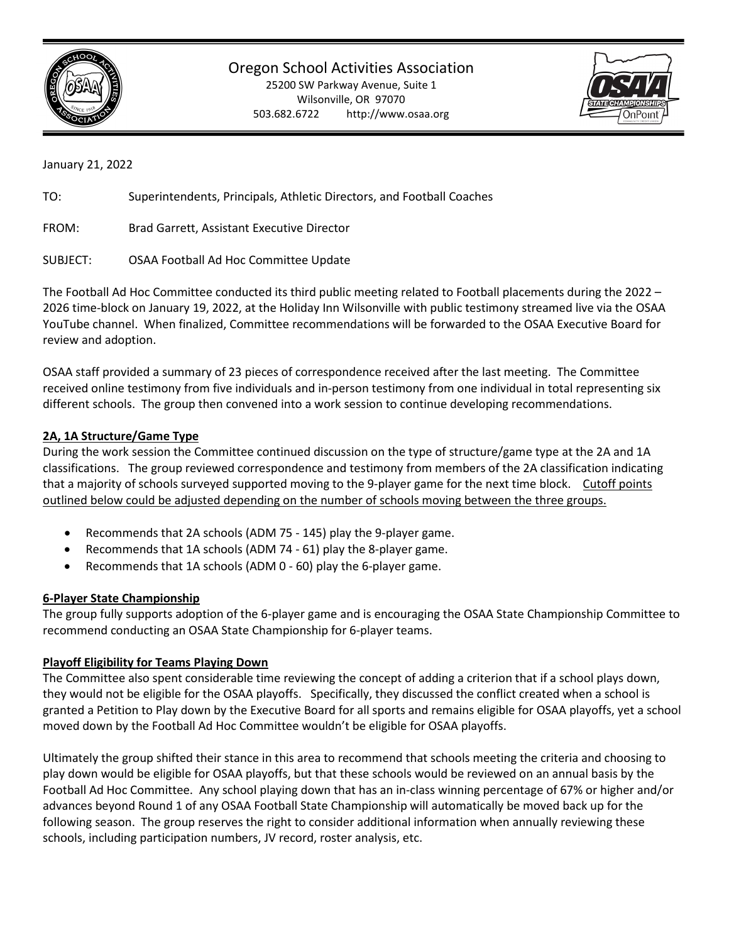

Oregon School Activities Association

25200 SW Parkway Avenue, Suite 1 Wilsonville, OR 97070 503.682.6722 http://www.osaa.org



January 21, 2022

TO: Superintendents, Principals, Athletic Directors, and Football Coaches

FROM: Brad Garrett, Assistant Executive Director

SUBJECT: OSAA Football Ad Hoc Committee Update

The Football Ad Hoc Committee conducted its third public meeting related to Football placements during the 2022 – 2026 time-block on January 19, 2022, at the Holiday Inn Wilsonville with public testimony streamed live via the OSAA YouTube channel. When finalized, Committee recommendations will be forwarded to the OSAA Executive Board for review and adoption.

OSAA staff provided a summary of 23 pieces of correspondence received after the last meeting. The Committee received online testimony from five individuals and in-person testimony from one individual in total representing six different schools. The group then convened into a work session to continue developing recommendations.

### **2A, 1A Structure/Game Type**

During the work session the Committee continued discussion on the type of structure/game type at the 2A and 1A classifications. The group reviewed correspondence and testimony from members of the 2A classification indicating that a majority of schools surveyed supported moving to the 9-player game for the next time block. Cutoff points outlined below could be adjusted depending on the number of schools moving between the three groups.

- Recommends that 2A schools (ADM 75 145) play the 9-player game.
- Recommends that 1A schools (ADM 74 61) play the 8-player game.
- Recommends that 1A schools (ADM 0 60) play the 6-player game.

#### **6-Player State Championship**

The group fully supports adoption of the 6-player game and is encouraging the OSAA State Championship Committee to recommend conducting an OSAA State Championship for 6-player teams.

#### **Playoff Eligibility for Teams Playing Down**

The Committee also spent considerable time reviewing the concept of adding a criterion that if a school plays down, they would not be eligible for the OSAA playoffs. Specifically, they discussed the conflict created when a school is granted a Petition to Play down by the Executive Board for all sports and remains eligible for OSAA playoffs, yet a school moved down by the Football Ad Hoc Committee wouldn't be eligible for OSAA playoffs.

Ultimately the group shifted their stance in this area to recommend that schools meeting the criteria and choosing to play down would be eligible for OSAA playoffs, but that these schools would be reviewed on an annual basis by the Football Ad Hoc Committee. Any school playing down that has an in-class winning percentage of 67% or higher and/or advances beyond Round 1 of any OSAA Football State Championship will automatically be moved back up for the following season. The group reserves the right to consider additional information when annually reviewing these schools, including participation numbers, JV record, roster analysis, etc.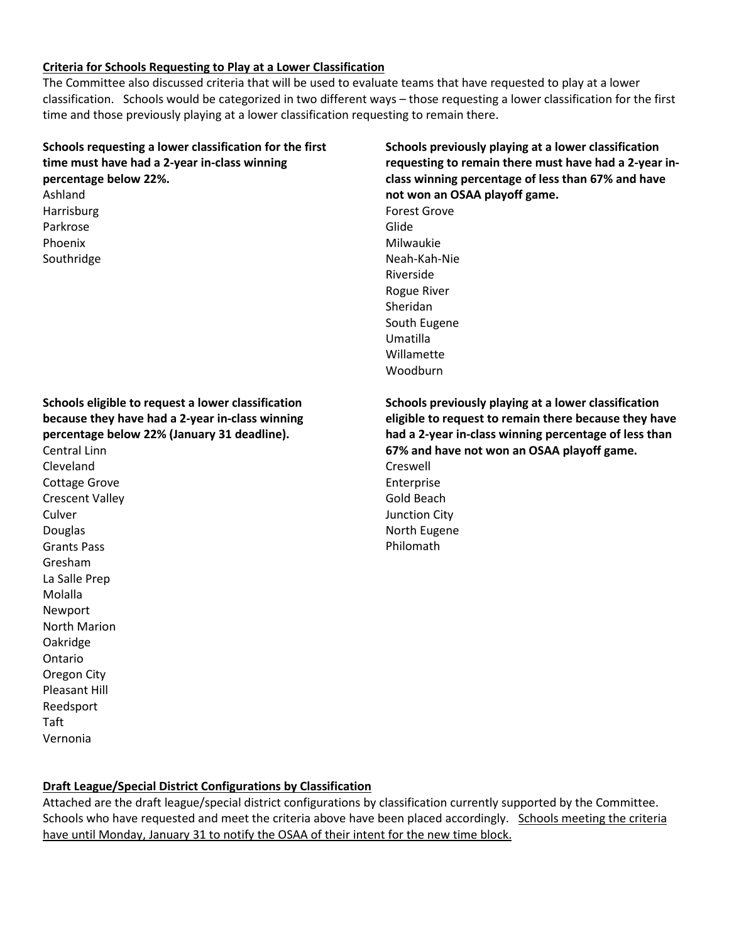## **Criteria for Schools Requesting to Play at a Lower Classification**

The Committee also discussed criteria that will be used to evaluate teams that have requested to play at a lower classification. Schools would be categorized in two different ways – those requesting a lower classification for the first time and those previously playing at a lower classification requesting to remain there.

| Schools requesting a lower classification for the first<br>time must have had a 2-year in-class winning<br>percentage below 22%.<br>Ashland<br>Harrisburg<br>Parkrose<br>Phoenix<br>Southridge                                                                                                                                                                                                                                                  | Schools previously playing at a lower classification<br>requesting to remain there must have had a 2-year in-<br>class winning percentage of less than 67% and have<br>not won an OSAA playoff game.<br><b>Forest Grove</b><br>Glide<br>Milwaukie<br>Neah-Kah-Nie<br>Riverside<br><b>Rogue River</b><br>Sheridan<br>South Eugene<br>Umatilla<br>Willamette<br>Woodburn |
|-------------------------------------------------------------------------------------------------------------------------------------------------------------------------------------------------------------------------------------------------------------------------------------------------------------------------------------------------------------------------------------------------------------------------------------------------|------------------------------------------------------------------------------------------------------------------------------------------------------------------------------------------------------------------------------------------------------------------------------------------------------------------------------------------------------------------------|
| Schools eligible to request a lower classification<br>because they have had a 2-year in-class winning<br>percentage below 22% (January 31 deadline).<br>Central Linn<br>Cleveland<br>Cottage Grove<br><b>Crescent Valley</b><br>Culver<br>Douglas<br><b>Grants Pass</b><br>Gresham<br>La Salle Prep<br>Molalla<br>Newport<br><b>North Marion</b><br>Oakridge<br>Ontario<br>Oregon City<br><b>Pleasant Hill</b><br>Reedsport<br>Taft<br>Vernonia | Schools previously playing at a lower classification<br>eligible to request to remain there because they have<br>had a 2-year in-class winning percentage of less than<br>67% and have not won an OSAA playoff game.<br>Creswell<br>Enterprise<br>Gold Beach<br>Junction City<br>North Eugene<br>Philomath                                                             |

# **Draft League/Special District Configurations by Classification**

Attached are the draft league/special district configurations by classification currently supported by the Committee. Schools who have requested and meet the criteria above have been placed accordingly. Schools meeting the criteria have until Monday, January 31 to notify the OSAA of their intent for the new time block.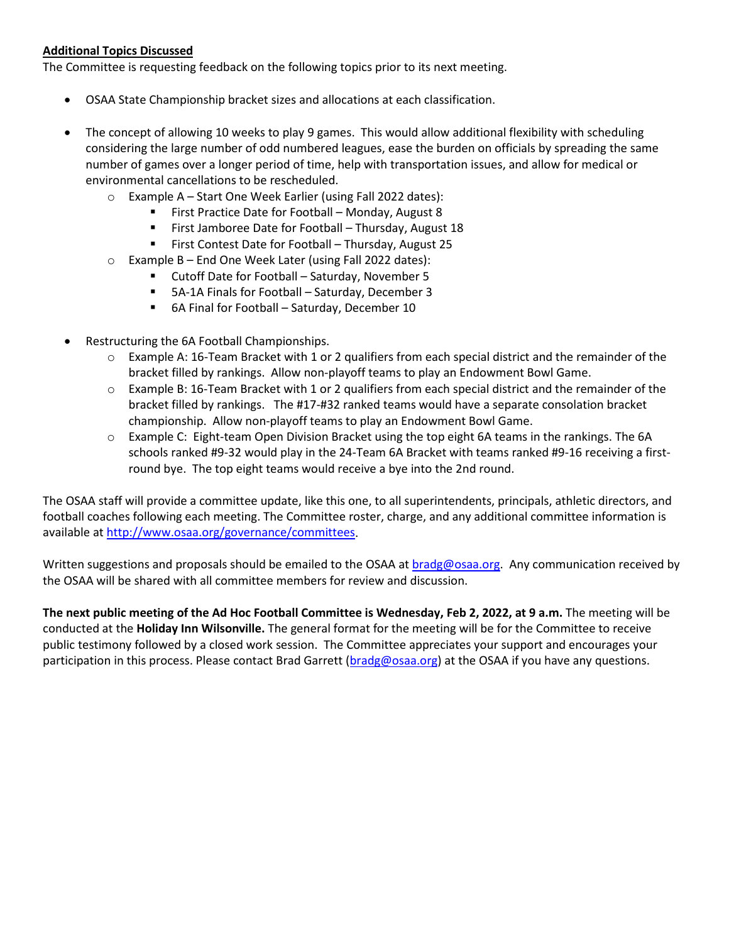### **Additional Topics Discussed**

The Committee is requesting feedback on the following topics prior to its next meeting.

- OSAA State Championship bracket sizes and allocations at each classification.
- The concept of allowing 10 weeks to play 9 games. This would allow additional flexibility with scheduling considering the large number of odd numbered leagues, ease the burden on officials by spreading the same number of games over a longer period of time, help with transportation issues, and allow for medical or environmental cancellations to be rescheduled.
	- o Example A Start One Week Earlier (using Fall 2022 dates):
		- First Practice Date for Football Monday, August 8
		- **First Jamboree Date for Football Thursday, August 18**
		- **First Contest Date for Football Thursday, August 25**
	- o Example B End One Week Later (using Fall 2022 dates):
		- Cutoff Date for Football Saturday, November 5
		- 5A-1A Finals for Football Saturday, December 3
		- 6A Final for Football Saturday, December 10
- Restructuring the 6A Football Championships.
	- $\circ$  Example A: 16-Team Bracket with 1 or 2 qualifiers from each special district and the remainder of the bracket filled by rankings. Allow non-playoff teams to play an Endowment Bowl Game.
	- o Example B: 16-Team Bracket with 1 or 2 qualifiers from each special district and the remainder of the bracket filled by rankings. The #17-#32 ranked teams would have a separate consolation bracket championship. Allow non-playoff teams to play an Endowment Bowl Game.
	- o Example C: Eight-team Open Division Bracket using the top eight 6A teams in the rankings. The 6A schools ranked #9-32 would play in the 24-Team 6A Bracket with teams ranked #9-16 receiving a firstround bye. The top eight teams would receive a bye into the 2nd round.

The OSAA staff will provide a committee update, like this one, to all superintendents, principals, athletic directors, and football coaches following each meeting. The Committee roster, charge, and any additional committee information is available a[t http://www.osaa.org/governance/committees.](http://www.osaa.org/governance/committees)

Written suggestions and proposals should be emailed to the OSAA at [bradg@osaa.org.](mailto:bradg@osaa.org) Any communication received by the OSAA will be shared with all committee members for review and discussion.

**The next public meeting of the Ad Hoc Football Committee is Wednesday, Feb 2, 2022, at 9 a.m.** The meeting will be conducted at the **Holiday Inn Wilsonville.** The general format for the meeting will be for the Committee to receive public testimony followed by a closed work session.The Committee appreciates your support and encourages your participation in this process. Please contact Brad Garrett [\(bradg@osaa.org\)](mailto:bradg@osaa.org) at the OSAA if you have any questions.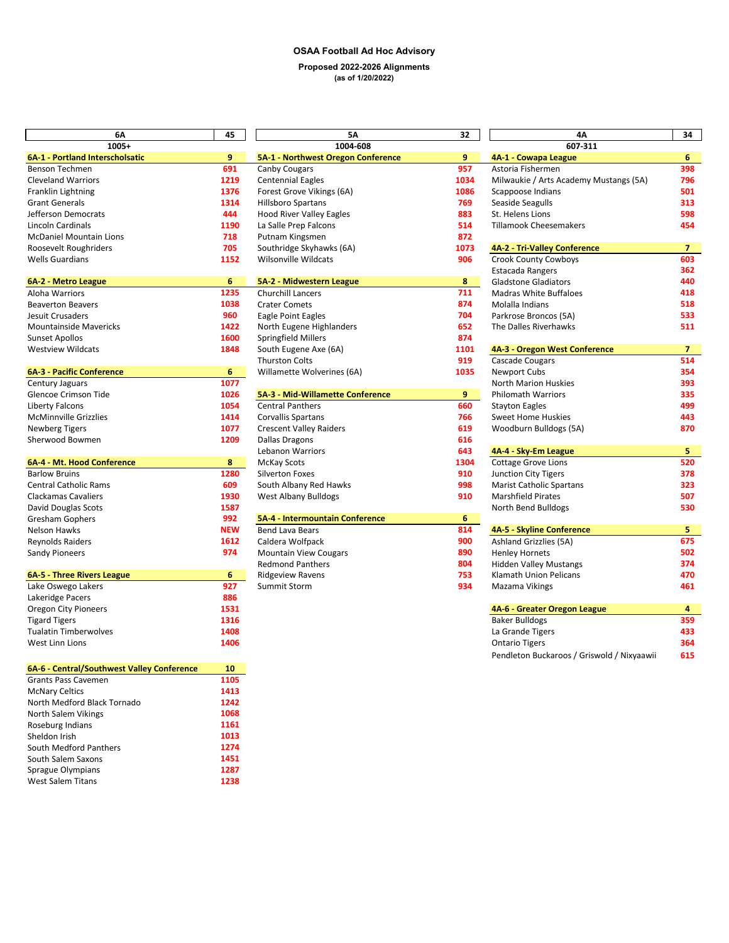#### **OSAA Football Ad Hoc Advisory Proposed 2022-2026 Alignments (as of 1/20/2022)**

| 6A                                                                       | 45                      | 5Α                                 | 32   | 4Α                                         | 34  |  |
|--------------------------------------------------------------------------|-------------------------|------------------------------------|------|--------------------------------------------|-----|--|
| $1005+$                                                                  |                         | 1004-608                           |      | 607-311                                    |     |  |
| 6A-1 - Portland Interscholsatic                                          | 9                       | 5A-1 - Northwest Oregon Conference | 9    | 4A-1 - Cowapa League                       | 6   |  |
| Benson Techmen                                                           | 691                     | Canby Cougars                      | 957  | Astoria Fishermen                          | 398 |  |
| <b>Cleveland Warriors</b>                                                | 1219                    | <b>Centennial Eagles</b>           | 1034 | Milwaukie / Arts Academy Mustangs (5A)     | 796 |  |
| Franklin Lightning                                                       | 1376                    | Forest Grove Vikings (6A)          | 1086 | Scappoose Indians                          | 501 |  |
| <b>Grant Generals</b>                                                    | 1314                    | <b>Hillsboro Spartans</b>          | 769  | Seaside Seagulls                           | 313 |  |
| Jefferson Democrats                                                      | 444                     | <b>Hood River Valley Eagles</b>    | 883  | St. Helens Lions                           | 598 |  |
| Lincoln Cardinals                                                        | 1190                    | La Salle Prep Falcons              | 514  | <b>Tillamook Cheesemakers</b>              | 454 |  |
| <b>McDaniel Mountain Lions</b>                                           | 718                     | Putnam Kingsmen                    | 872  |                                            |     |  |
| Roosevelt Roughriders                                                    | 705                     | Southridge Skyhawks (6A)           | 1073 | 4A-2 - Tri-Valley Conference               | 7.  |  |
| <b>Wells Guardians</b>                                                   | 1152                    | <b>Wilsonville Wildcats</b>        | 906  | <b>Crook County Cowboys</b>                | 603 |  |
|                                                                          |                         |                                    |      | Estacada Rangers                           | 362 |  |
| 6A-2 - Metro League                                                      | 6                       | 5A-2 - Midwestern League           | 8    | <b>Gladstone Gladiators</b>                | 440 |  |
| Aloha Warriors                                                           | 1235                    | Churchill Lancers                  | 711  | <b>Madras White Buffaloes</b>              | 418 |  |
| <b>Beaverton Beavers</b>                                                 | 1038                    | <b>Crater Comets</b>               | 874  | Molalla Indians                            | 518 |  |
| Jesuit Crusaders                                                         | 960                     | Eagle Point Eagles                 | 704  | Parkrose Broncos (5A)                      | 533 |  |
| <b>Mountainside Mavericks</b>                                            | 1422                    | North Eugene Highlanders           | 652  | The Dalles Riverhawks                      | 511 |  |
| <b>Sunset Apollos</b>                                                    | 1600                    | Springfield Millers                | 874  |                                            |     |  |
| <b>Westview Wildcats</b>                                                 | 1848                    | South Eugene Axe (6A)              | 1101 | 4A-3 - Oregon West Conference              | 7.  |  |
|                                                                          |                         | <b>Thurston Colts</b>              | 919  | <b>Cascade Cougars</b>                     | 514 |  |
| <b>6A-3 - Pacific Conference</b>                                         | 6                       | Willamette Wolverines (6A)         | 1035 | Newport Cubs                               | 354 |  |
| Century Jaguars                                                          | 1077                    |                                    |      | <b>North Marion Huskies</b>                | 393 |  |
| Glencoe Crimson Tide                                                     | 1026                    | 5A-3 - Mid-Willamette Conference   | 9    | <b>Philomath Warriors</b>                  | 335 |  |
| Liberty Falcons                                                          | 1054                    | <b>Central Panthers</b>            | 660  | <b>Stayton Eagles</b>                      | 499 |  |
| <b>McMinnville Grizzlies</b>                                             | 1414                    | <b>Corvallis Spartans</b>          | 766  | <b>Sweet Home Huskies</b>                  | 443 |  |
| <b>Newberg Tigers</b>                                                    | 1077                    | <b>Crescent Valley Raiders</b>     | 619  | Woodburn Bulldogs (5A)                     | 870 |  |
| Sherwood Bowmen                                                          | 1209                    | <b>Dallas Dragons</b>              | 616  |                                            |     |  |
|                                                                          |                         | <b>Lebanon Warriors</b>            | 643  | 4A-4 - Sky-Em League                       | 5.  |  |
| 6A-4 - Mt. Hood Conference                                               | 8                       | <b>McKay Scots</b>                 | 1304 | <b>Cottage Grove Lions</b>                 | 520 |  |
| <b>Barlow Bruins</b>                                                     | 1280                    | Silverton Foxes                    | 910  | Junction City Tigers                       | 378 |  |
| <b>Central Catholic Rams</b>                                             | 609                     | South Albany Red Hawks             | 998  | <b>Marist Catholic Spartans</b>            | 323 |  |
| <b>Clackamas Cavaliers</b>                                               | 1930                    | West Albany Bulldogs               | 910  | <b>Marshfield Pirates</b>                  | 507 |  |
| David Douglas Scots                                                      | 1587                    |                                    |      | North Bend Bulldogs                        | 530 |  |
| Gresham Gophers                                                          | 992                     | 5A-4 - Intermountain Conference    | 6    |                                            |     |  |
| <b>Nelson Hawks</b>                                                      | <b>NEW</b>              | <b>Bend Lava Bears</b>             | 814  | 4A-5 - Skyline Conference                  | 5.  |  |
| <b>Reynolds Raiders</b>                                                  | 1612                    | Caldera Wolfpack                   | 900  | Ashland Grizzlies (5A)                     | 675 |  |
| <b>Sandy Pioneers</b>                                                    | 974                     | Mountain View Cougars              | 890  | <b>Henley Hornets</b>                      | 502 |  |
|                                                                          |                         | <b>Redmond Panthers</b>            | 804  | <b>Hidden Valley Mustangs</b>              | 374 |  |
| 6A-5 - Three Rivers League                                               | 6                       | <b>Ridgeview Ravens</b>            | 753  | Klamath Union Pelicans                     | 470 |  |
| Lake Oswego Lakers                                                       | 927                     | Summit Storm                       | 934  | Mazama Vikings                             | 461 |  |
| Lakeridge Pacers                                                         | 886                     |                                    |      |                                            |     |  |
| Oregon City Pioneers                                                     | 1531                    |                                    |      | 4A-6 - Greater Oregon League               | 4   |  |
| <b>Tigard Tigers</b>                                                     | 1316                    |                                    |      | <b>Baker Bulldogs</b>                      | 359 |  |
| <b>Tualatin Timberwolves</b>                                             | 1408                    |                                    |      | La Grande Tigers                           | 433 |  |
| West Linn Lions                                                          | 1406                    |                                    |      | <b>Ontario Tigers</b>                      | 364 |  |
|                                                                          |                         |                                    |      | Pendleton Buckaroos / Griswold / Nixyaawii | 615 |  |
|                                                                          |                         |                                    |      |                                            |     |  |
| 6A-6 - Central/Southwest Valley Conference<br><b>Grants Pass Cavemen</b> | 10 <sub>1</sub><br>1105 |                                    |      |                                            |     |  |
|                                                                          |                         |                                    |      |                                            |     |  |
| <b>McNary Celtics</b><br>North Medford Black Tornado                     | 1413<br>1242            |                                    |      |                                            |     |  |
|                                                                          | 1068                    |                                    |      |                                            |     |  |
| North Salem Vikings                                                      |                         |                                    |      |                                            |     |  |
| Roseburg Indians<br>Sheldon Irish                                        | 1161                    |                                    |      |                                            |     |  |
|                                                                          | 1013                    |                                    |      |                                            |     |  |
| South Medford Panthers                                                   | 1274                    |                                    |      |                                            |     |  |
| South Salem Saxons                                                       | 1451                    |                                    |      |                                            |     |  |
| Sprague Olympians                                                        | 1287                    |                                    |      |                                            |     |  |
| West Salem Titans                                                        | 1238                    |                                    |      |                                            |     |  |